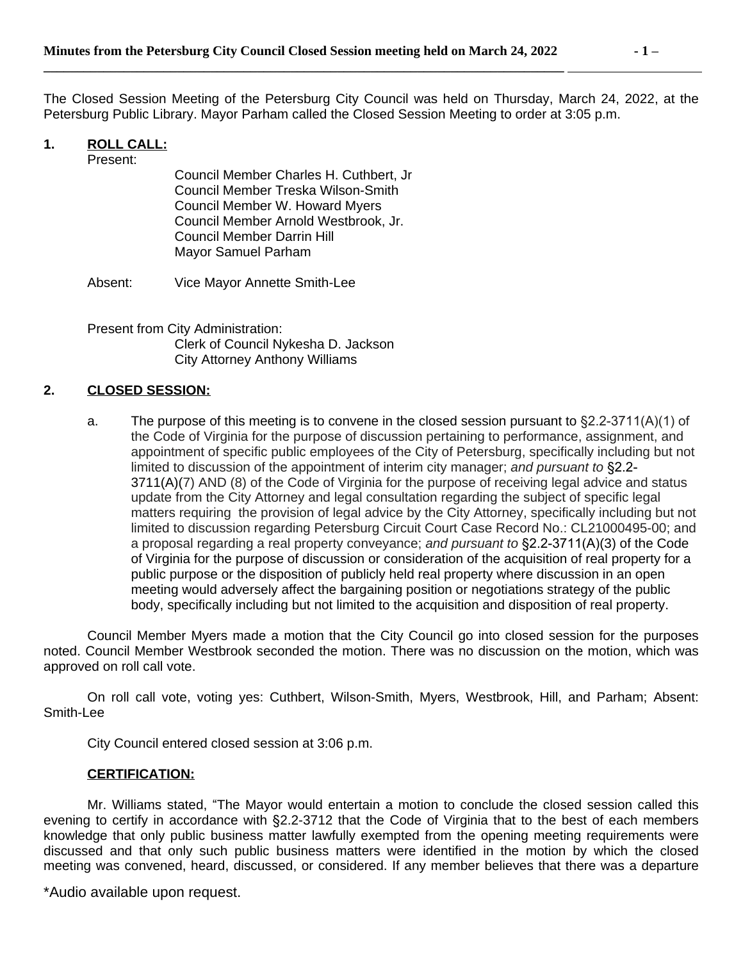**\_\_\_\_\_\_\_\_\_\_\_\_\_\_\_\_\_\_\_\_\_\_\_\_\_\_\_\_\_\_\_\_\_\_\_\_\_\_\_\_\_\_\_\_\_\_\_\_\_\_\_\_\_\_\_\_\_\_\_\_\_\_\_\_\_\_\_\_\_\_\_\_\_\_\_\_\_\_** 

The Closed Session Meeting of the Petersburg City Council was held on Thursday, March 24, 2022, at the Petersburg Public Library. Mayor Parham called the Closed Session Meeting to order at 3:05 p.m.

### **1. ROLL CALL:**

Present:

Council Member Charles H. Cuthbert, Jr Council Member Treska Wilson-Smith Council Member W. Howard Myers Council Member Arnold Westbrook, Jr. Council Member Darrin Hill Mayor Samuel Parham

Absent: Vice Mayor Annette Smith-Lee

Present from City Administration: Clerk of Council Nykesha D. Jackson City Attorney Anthony Williams

#### **2. CLOSED SESSION:**

a. The purpose of this meeting is to convene in the closed session pursuant to  $\S2.2$ -3711(A)(1) of the Code of Virginia for the purpose of discussion pertaining to performance, assignment, and appointment of specific public employees of the City of Petersburg, specifically including but not limited to discussion of the appointment of interim city manager; *and pursuant to* §2.2- 3711(A)(7) AND (8) of the Code of Virginia for the purpose of receiving legal advice and status update from the City Attorney and legal consultation regarding the subject of specific legal matters requiring the provision of legal advice by the City Attorney, specifically including but not limited to discussion regarding Petersburg Circuit Court Case Record No.: CL21000495-00; and a proposal regarding a real property conveyance; *and pursuant to* §2.2-3711(A)(3) of the Code of Virginia for the purpose of discussion or consideration of the acquisition of real property for a public purpose or the disposition of publicly held real property where discussion in an open meeting would adversely affect the bargaining position or negotiations strategy of the public body, specifically including but not limited to the acquisition and disposition of real property.

Council Member Myers made a motion that the City Council go into closed session for the purposes noted. Council Member Westbrook seconded the motion. There was no discussion on the motion, which was approved on roll call vote.

On roll call vote, voting yes: Cuthbert, Wilson-Smith, Myers, Westbrook, Hill, and Parham; Absent: Smith-Lee

City Council entered closed session at 3:06 p.m.

## **CERTIFICATION:**

Mr. Williams stated, "The Mayor would entertain a motion to conclude the closed session called this evening to certify in accordance with §2.2-3712 that the Code of Virginia that to the best of each members knowledge that only public business matter lawfully exempted from the opening meeting requirements were discussed and that only such public business matters were identified in the motion by which the closed meeting was convened, heard, discussed, or considered. If any member believes that there was a departure

\*Audio available upon request.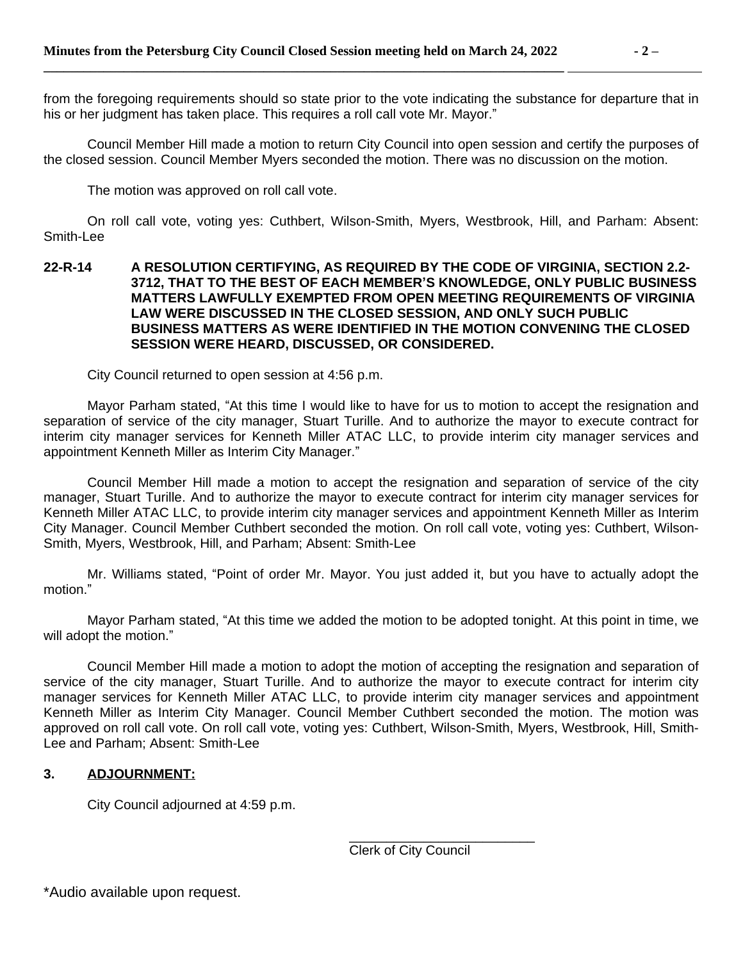from the foregoing requirements should so state prior to the vote indicating the substance for departure that in his or her judgment has taken place. This requires a roll call vote Mr. Mayor."

Council Member Hill made a motion to return City Council into open session and certify the purposes of the closed session. Council Member Myers seconded the motion. There was no discussion on the motion.

The motion was approved on roll call vote.

On roll call vote, voting yes: Cuthbert, Wilson-Smith, Myers, Westbrook, Hill, and Parham: Absent: Smith-Lee

#### **22-R-14 A RESOLUTION CERTIFYING, AS REQUIRED BY THE CODE OF VIRGINIA, SECTION 2.2- 3712, THAT TO THE BEST OF EACH MEMBER'S KNOWLEDGE, ONLY PUBLIC BUSINESS MATTERS LAWFULLY EXEMPTED FROM OPEN MEETING REQUIREMENTS OF VIRGINIA LAW WERE DISCUSSED IN THE CLOSED SESSION, AND ONLY SUCH PUBLIC BUSINESS MATTERS AS WERE IDENTIFIED IN THE MOTION CONVENING THE CLOSED SESSION WERE HEARD, DISCUSSED, OR CONSIDERED.**

City Council returned to open session at 4:56 p.m.

Mayor Parham stated, "At this time I would like to have for us to motion to accept the resignation and separation of service of the city manager, Stuart Turille. And to authorize the mayor to execute contract for interim city manager services for Kenneth Miller ATAC LLC, to provide interim city manager services and appointment Kenneth Miller as Interim City Manager."

Council Member Hill made a motion to accept the resignation and separation of service of the city manager, Stuart Turille. And to authorize the mayor to execute contract for interim city manager services for Kenneth Miller ATAC LLC, to provide interim city manager services and appointment Kenneth Miller as Interim City Manager. Council Member Cuthbert seconded the motion. On roll call vote, voting yes: Cuthbert, Wilson-Smith, Myers, Westbrook, Hill, and Parham; Absent: Smith-Lee

Mr. Williams stated, "Point of order Mr. Mayor. You just added it, but you have to actually adopt the motion."

Mayor Parham stated, "At this time we added the motion to be adopted tonight. At this point in time, we will adopt the motion."

Council Member Hill made a motion to adopt the motion of accepting the resignation and separation of service of the city manager, Stuart Turille. And to authorize the mayor to execute contract for interim city manager services for Kenneth Miller ATAC LLC, to provide interim city manager services and appointment Kenneth Miller as Interim City Manager. Council Member Cuthbert seconded the motion. The motion was approved on roll call vote. On roll call vote, voting yes: Cuthbert, Wilson-Smith, Myers, Westbrook, Hill, Smith-Lee and Parham; Absent: Smith-Lee

# **3. ADJOURNMENT:**

City Council adjourned at 4:59 p.m.

\_\_\_\_\_\_\_\_\_\_\_\_\_\_\_\_\_\_\_\_\_\_\_\_\_ Clerk of City Council